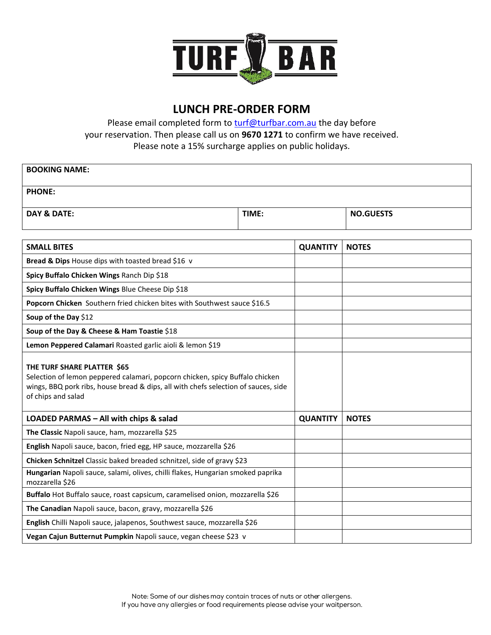

## **LUNCH PRE-ORDER FORM**

Please email completed form to [turf@turfbar.com.au](mailto:turf@turfbar.com.au) the day before your reservation. Then please call us on **9670 1271** to confirm we have received. Please note a 15% surcharge applies on public holidays.

| <b>BOOKING NAME:</b>                                                                                                                                                                                                    |                 |                  |              |
|-------------------------------------------------------------------------------------------------------------------------------------------------------------------------------------------------------------------------|-----------------|------------------|--------------|
| <b>PHONE:</b>                                                                                                                                                                                                           |                 |                  |              |
| <b>DAY &amp; DATE:</b>                                                                                                                                                                                                  |                 | <b>NO.GUESTS</b> |              |
|                                                                                                                                                                                                                         |                 |                  |              |
| <b>SMALL BITES</b>                                                                                                                                                                                                      | <b>QUANTITY</b> | <b>NOTES</b>     |              |
| Bread & Dips House dips with toasted bread \$16 v                                                                                                                                                                       |                 |                  |              |
| Spicy Buffalo Chicken Wings Ranch Dip \$18                                                                                                                                                                              |                 |                  |              |
| Spicy Buffalo Chicken Wings Blue Cheese Dip \$18                                                                                                                                                                        |                 |                  |              |
| Popcorn Chicken Southern fried chicken bites with Southwest sauce \$16.5                                                                                                                                                |                 |                  |              |
| Soup of the Day \$12                                                                                                                                                                                                    |                 |                  |              |
| Soup of the Day & Cheese & Ham Toastie \$18                                                                                                                                                                             |                 |                  |              |
| Lemon Peppered Calamari Roasted garlic aioli & lemon \$19                                                                                                                                                               |                 |                  |              |
| THE TURF SHARE PLATTER \$65<br>Selection of lemon peppered calamari, popcorn chicken, spicy Buffalo chicken<br>wings, BBQ pork ribs, house bread & dips, all with chefs selection of sauces, side<br>of chips and salad |                 |                  |              |
| LOADED PARMAS - All with chips & salad                                                                                                                                                                                  |                 | <b>QUANTITY</b>  | <b>NOTES</b> |
| The Classic Napoli sauce, ham, mozzarella \$25                                                                                                                                                                          |                 |                  |              |
| English Napoli sauce, bacon, fried egg, HP sauce, mozzarella \$26                                                                                                                                                       |                 |                  |              |
| Chicken Schnitzel Classic baked breaded schnitzel, side of gravy \$23                                                                                                                                                   |                 |                  |              |
| Hungarian Napoli sauce, salami, olives, chilli flakes, Hungarian smoked paprika<br>mozzarella \$26                                                                                                                      |                 |                  |              |
| Buffalo Hot Buffalo sauce, roast capsicum, caramelised onion, mozzarella \$26                                                                                                                                           |                 |                  |              |
| The Canadian Napoli sauce, bacon, gravy, mozzarella \$26                                                                                                                                                                |                 |                  |              |
| English Chilli Napoli sauce, jalapenos, Southwest sauce, mozzarella \$26                                                                                                                                                |                 |                  |              |
| Vegan Cajun Butternut Pumpkin Napoli sauce, vegan cheese \$23 v                                                                                                                                                         |                 |                  |              |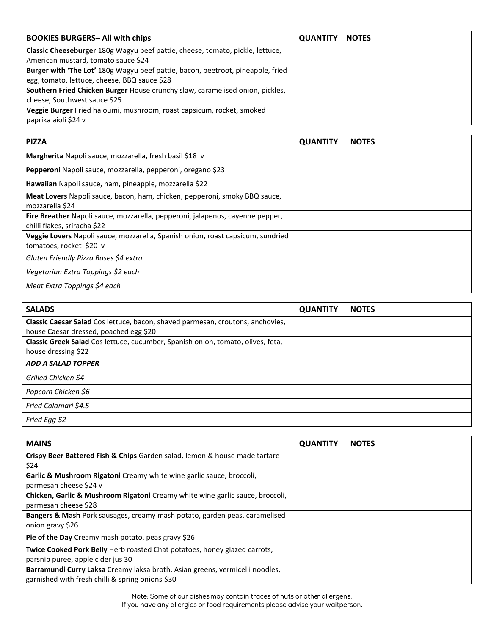| <b>BOOKIES BURGERS- All with chips</b>                                                                                          | <b>QUANTITY</b> | <b>NOTES</b> |
|---------------------------------------------------------------------------------------------------------------------------------|-----------------|--------------|
| Classic Cheeseburger 180g Wagyu beef pattie, cheese, tomato, pickle, lettuce,<br>American mustard, tomato sauce \$24            |                 |              |
| Burger with 'The Lot' 180g Wagyu beef pattie, bacon, beetroot, pineapple, fried<br>egg, tomato, lettuce, cheese, BBQ sauce \$28 |                 |              |
| Southern Fried Chicken Burger House crunchy slaw, caramelised onion, pickles,<br>cheese, Southwest sauce \$25                   |                 |              |
| Veggie Burger Fried haloumi, mushroom, roast capsicum, rocket, smoked<br>paprika aioli \$24 v                                   |                 |              |

| <b>PIZZA</b>                                                                                                  | <b>QUANTITY</b> | <b>NOTES</b> |
|---------------------------------------------------------------------------------------------------------------|-----------------|--------------|
| Margherita Napoli sauce, mozzarella, fresh basil \$18 v                                                       |                 |              |
| Pepperoni Napoli sauce, mozzarella, pepperoni, oregano \$23                                                   |                 |              |
| Hawaiian Napoli sauce, ham, pineapple, mozzarella \$22                                                        |                 |              |
| Meat Lovers Napoli sauce, bacon, ham, chicken, pepperoni, smoky BBQ sauce,<br>mozzarella \$24                 |                 |              |
| Fire Breather Napoli sauce, mozzarella, pepperoni, jalapenos, cayenne pepper,<br>chilli flakes, sriracha \$22 |                 |              |
| Veggie Lovers Napoli sauce, mozzarella, Spanish onion, roast capsicum, sundried<br>tomatoes, rocket \$20 v    |                 |              |
| Gluten Friendly Pizza Bases \$4 extra                                                                         |                 |              |
| Vegetarian Extra Toppings \$2 each                                                                            |                 |              |
| Meat Extra Toppings \$4 each                                                                                  |                 |              |

| <b>SALADS</b>                                                                                                            | <b>QUANTITY</b> | <b>NOTES</b> |
|--------------------------------------------------------------------------------------------------------------------------|-----------------|--------------|
| Classic Caesar Salad Cos lettuce, bacon, shaved parmesan, croutons, anchovies,<br>house Caesar dressed, poached egg \$20 |                 |              |
| Classic Greek Salad Cos lettuce, cucumber, Spanish onion, tomato, olives, feta,<br>house dressing \$22                   |                 |              |
| <b>ADD A SALAD TOPPER</b>                                                                                                |                 |              |
| Grilled Chicken \$4                                                                                                      |                 |              |
| Popcorn Chicken \$6                                                                                                      |                 |              |
| Fried Calamari \$4.5                                                                                                     |                 |              |
| Fried Egg \$2                                                                                                            |                 |              |

| <b>MAINS</b>                                                                  | <b>QUANTITY</b> | <b>NOTES</b> |
|-------------------------------------------------------------------------------|-----------------|--------------|
| Crispy Beer Battered Fish & Chips Garden salad, lemon & house made tartare    |                 |              |
| \$24                                                                          |                 |              |
| Garlic & Mushroom Rigatoni Creamy white wine garlic sauce, broccoli,          |                 |              |
| parmesan cheese \$24 v                                                        |                 |              |
| Chicken, Garlic & Mushroom Rigatoni Creamy white wine garlic sauce, broccoli, |                 |              |
| parmesan cheese \$28                                                          |                 |              |
| Bangers & Mash Pork sausages, creamy mash potato, garden peas, caramelised    |                 |              |
| onion gravy \$26                                                              |                 |              |
| Pie of the Day Creamy mash potato, peas gravy \$26                            |                 |              |
| Twice Cooked Pork Belly Herb roasted Chat potatoes, honey glazed carrots,     |                 |              |
| parsnip puree, apple cider jus 30                                             |                 |              |
| Barramundi Curry Laksa Creamy laksa broth, Asian greens, vermicelli noodles,  |                 |              |
| garnished with fresh chilli & spring onions \$30                              |                 |              |

Note: Some of our dishes may contain traces of nuts or other allergens.<br>If you have any allergies or food requirements please advise your waitperson.